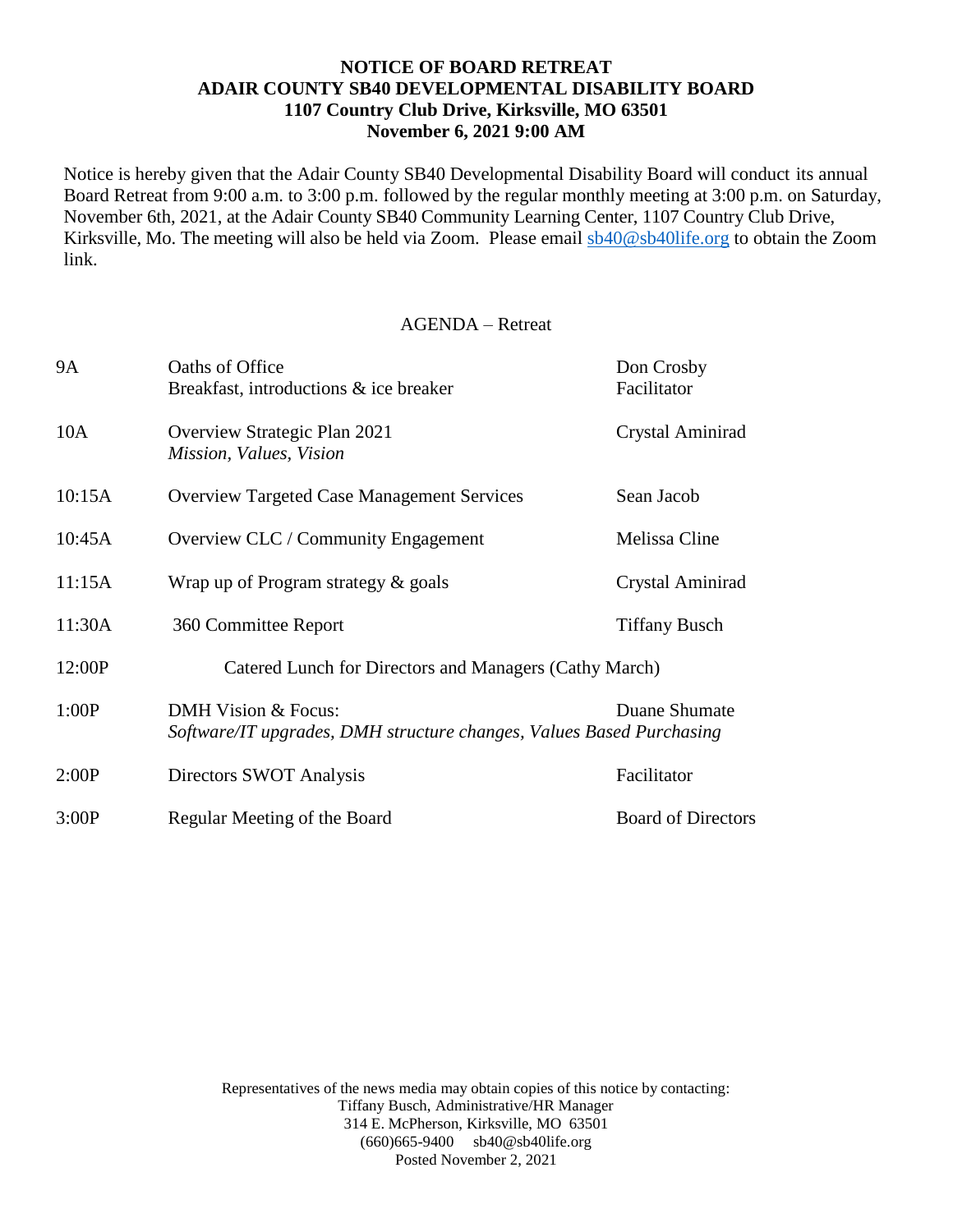## **NOTICE OF BOARD RETREAT ADAIR COUNTY SB40 DEVELOPMENTAL DISABILITY BOARD 1107 Country Club Drive, Kirksville, MO 63501 November 6, 2021 9:00 AM**

Notice is hereby given that the Adair County SB40 Developmental Disability Board will conduct its annual Board Retreat from 9:00 a.m. to 3:00 p.m. followed by the regular monthly meeting at 3:00 p.m. on Saturday, November 6th, 2021, at the Adair County SB40 Community Learning Center, 1107 Country Club Drive, Kirksville, Mo. The meeting will also be held via Zoom. Please email [sb40@sb40life.org](mailto:sb40@sb40life.org) to obtain the Zoom link.

## AGENDA – Retreat

| <b>9A</b> | Oaths of Office                                                                             | Don Crosby                |
|-----------|---------------------------------------------------------------------------------------------|---------------------------|
|           | Breakfast, introductions & ice breaker                                                      | Facilitator               |
| 10A       | Overview Strategic Plan 2021<br>Mission, Values, Vision                                     | Crystal Aminirad          |
| 10:15A    | <b>Overview Targeted Case Management Services</b>                                           | Sean Jacob                |
| 10:45A    | Overview CLC / Community Engagement                                                         | Melissa Cline             |
| 11:15A    | Wrap up of Program strategy $\&$ goals                                                      | Crystal Aminirad          |
| 11:30A    | 360 Committee Report                                                                        | <b>Tiffany Busch</b>      |
| 12:00P    | Catered Lunch for Directors and Managers (Cathy March)                                      |                           |
| 1:00P     | DMH Vision & Focus:<br>Software/IT upgrades, DMH structure changes, Values Based Purchasing | Duane Shumate             |
| 2:00P     | Directors SWOT Analysis                                                                     | Facilitator               |
| 3:00P     | Regular Meeting of the Board                                                                | <b>Board of Directors</b> |

Representatives of the news media may obtain copies of this notice by contacting: Tiffany Busch, Administrative/HR Manager 314 E. McPherson, Kirksville, MO 63501 (660)665-9400 [sb40@sb40life.org](mailto:sb40@sb40life.org) Posted November 2, 2021